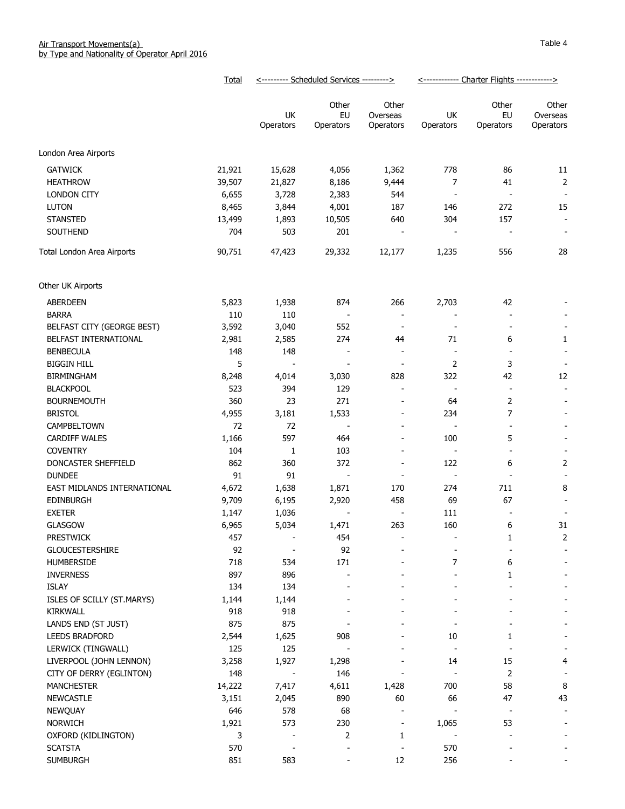|                             | Total  | <--------- Scheduled Services ---------> |                          |                                | <------------ Charter Flights ------------> |                          |                                |
|-----------------------------|--------|------------------------------------------|--------------------------|--------------------------------|---------------------------------------------|--------------------------|--------------------------------|
|                             |        | UK<br>Operators                          | Other<br>EU<br>Operators | Other<br>Overseas<br>Operators | UK<br>Operators                             | Other<br>EU<br>Operators | Other<br>Overseas<br>Operators |
| London Area Airports        |        |                                          |                          |                                |                                             |                          |                                |
| <b>GATWICK</b>              | 21,921 | 15,628                                   | 4,056                    | 1,362                          | 778                                         | 86                       | 11                             |
| <b>HEATHROW</b>             | 39,507 | 21,827                                   | 8,186                    | 9,444                          | 7                                           | 41                       | $\overline{2}$                 |
| <b>LONDON CITY</b>          | 6,655  | 3,728                                    | 2,383                    | 544                            | $\overline{\phantom{a}}$                    | $\overline{\phantom{a}}$ |                                |
| <b>LUTON</b>                | 8,465  | 3,844                                    | 4,001                    | 187                            | 146                                         | 272                      | 15                             |
| <b>STANSTED</b>             | 13,499 | 1,893                                    | 10,505                   | 640                            | 304                                         | 157                      | $\overline{\phantom{a}}$       |
| SOUTHEND                    | 704    | 503                                      | 201                      |                                |                                             |                          | $\overline{\phantom{a}}$       |
| Total London Area Airports  | 90,751 | 47,423                                   | 29,332                   | 12,177                         | 1,235                                       | 556                      | 28                             |
| Other UK Airports           |        |                                          |                          |                                |                                             |                          |                                |
| ABERDEEN                    | 5,823  | 1,938                                    | 874                      | 266                            | 2,703                                       | 42                       |                                |
| <b>BARRA</b>                | 110    | 110                                      | $\overline{\phantom{a}}$ | $\overline{\phantom{a}}$       |                                             |                          |                                |
| BELFAST CITY (GEORGE BEST)  | 3,592  | 3,040                                    | 552                      | $\overline{\phantom{a}}$       |                                             |                          |                                |
| BELFAST INTERNATIONAL       | 2,981  | 2,585                                    | 274                      | 44                             | 71                                          | 6                        | 1                              |
| <b>BENBECULA</b>            | 148    | 148                                      |                          | $\overline{\phantom{a}}$       | $\overline{\phantom{a}}$                    | $\overline{\phantom{a}}$ | $\overline{\phantom{a}}$       |
| <b>BIGGIN HILL</b>          | 5      | $\overline{\phantom{a}}$                 | $\overline{a}$           | $\overline{\phantom{a}}$       | $\overline{2}$                              | 3                        |                                |
| <b>BIRMINGHAM</b>           | 8,248  | 4,014                                    | 3,030                    | 828                            | 322                                         | 42                       | 12                             |
| <b>BLACKPOOL</b>            | 523    | 394                                      | 129                      | $\overline{\phantom{a}}$       | $\overline{\phantom{a}}$                    | $\overline{\phantom{a}}$ | $\blacksquare$                 |
| <b>BOURNEMOUTH</b>          | 360    | 23                                       | 271                      | $\overline{\phantom{a}}$       | 64                                          | 2                        | $\overline{\phantom{a}}$       |
| <b>BRISTOL</b>              | 4,955  | 3,181                                    | 1,533                    | $\overline{\phantom{a}}$       | 234                                         | 7                        |                                |
| CAMPBELTOWN                 | 72     | 72                                       | $\blacksquare$           | $\blacksquare$                 | $\overline{\phantom{a}}$                    | $\sim$                   |                                |
| <b>CARDIFF WALES</b>        | 1,166  | 597                                      | 464                      | $\overline{\phantom{a}}$       | 100                                         | 5                        |                                |
| <b>COVENTRY</b>             | 104    | 1                                        | 103                      | $\overline{\phantom{a}}$       | $\blacksquare$                              | $\blacksquare$           |                                |
| DONCASTER SHEFFIELD         | 862    | 360                                      | 372                      | $\overline{\phantom{a}}$       | 122                                         | 6                        | 2                              |
| <b>DUNDEE</b>               | 91     | 91                                       | $\overline{\phantom{a}}$ | $\overline{\phantom{a}}$       | $\overline{\phantom{a}}$                    | $\sim$                   | $\overline{\phantom{a}}$       |
| EAST MIDLANDS INTERNATIONAL | 4,672  | 1,638                                    | 1,871                    | 170                            | 274                                         | 711                      | 8                              |
| <b>EDINBURGH</b>            | 9,709  | 6,195                                    | 2,920                    | 458                            | 69                                          | 67                       |                                |
| <b>EXETER</b>               | 1,147  | 1,036                                    |                          |                                | 111                                         |                          |                                |
| <b>GLASGOW</b>              | 6,965  | 5,034                                    | 1,471                    | 263                            | 160                                         | 6                        | 31                             |
| <b>PRESTWICK</b>            | 457    | $\qquad \qquad \blacksquare$             | 454                      |                                |                                             | 1                        | 2                              |
| GLOUCESTERSHIRE             | 92     |                                          | 92                       |                                |                                             |                          |                                |
| <b>HUMBERSIDE</b>           | 718    | 534                                      | 171                      |                                | 7                                           | 6                        |                                |
| <b>INVERNESS</b>            | 897    | 896                                      |                          |                                |                                             | 1                        |                                |
| <b>ISLAY</b>                | 134    | 134                                      |                          |                                |                                             |                          |                                |
| ISLES OF SCILLY (ST.MARYS)  | 1,144  | 1,144                                    |                          |                                |                                             |                          |                                |
| <b>KIRKWALL</b>             | 918    | 918                                      |                          |                                |                                             |                          |                                |
| LANDS END (ST JUST)         | 875    | 875                                      |                          |                                |                                             |                          |                                |
| <b>LEEDS BRADFORD</b>       | 2,544  | 1,625                                    | 908                      |                                | 10                                          | 1                        |                                |
| LERWICK (TINGWALL)          | 125    | 125                                      |                          |                                |                                             |                          |                                |
| LIVERPOOL (JOHN LENNON)     | 3,258  | 1,927                                    | 1,298                    |                                | 14                                          | 15                       | 4                              |
| CITY OF DERRY (EGLINTON)    | 148    |                                          | 146                      |                                |                                             | 2                        | $\overline{\phantom{a}}$       |
| <b>MANCHESTER</b>           | 14,222 | 7,417                                    | 4,611                    | 1,428                          | 700                                         | 58                       | 8                              |
| <b>NEWCASTLE</b>            | 3,151  | 2,045                                    | 890                      | 60                             | 66                                          | 47                       | 43                             |
| NEWQUAY                     | 646    | 578                                      | 68                       | $\blacksquare$                 |                                             | $\overline{\phantom{a}}$ |                                |
| <b>NORWICH</b>              | 1,921  | 573                                      | 230                      | $\overline{\phantom{a}}$       | 1,065                                       | 53                       |                                |
| OXFORD (KIDLINGTON)         | 3      |                                          | $\overline{2}$           | 1                              |                                             |                          |                                |
| <b>SCATSTA</b>              | 570    |                                          |                          | $\overline{\phantom{a}}$       | 570                                         |                          |                                |
| <b>SUMBURGH</b>             | 851    | 583                                      |                          | 12                             | 256                                         |                          |                                |